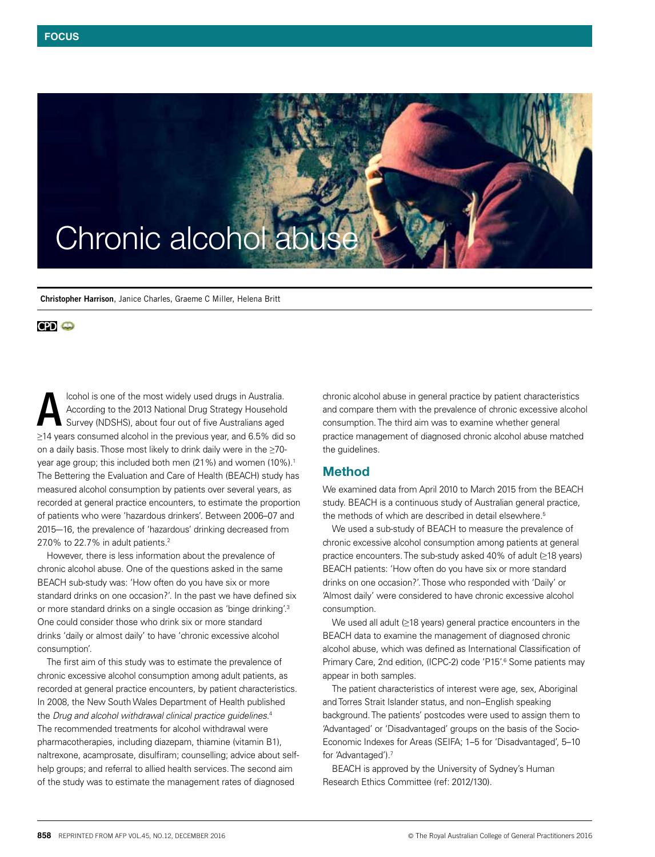

**Christopher Harrison**, Janice Charles, Graeme C Miller, Helena Britt

### **CPD** @

lcohol is one of the most widely used drugs in Australia. According to the 2013 National Drug Strategy Household Survey (NDSHS), about four out of five Australians aged ≥14 years consumed alcohol in the previous year, and 6.5% did so on a daily basis. Those most likely to drink daily were in the ≥70 year age group; this included both men (21%) and women (10%).<sup>1</sup> The Bettering the Evaluation and Care of Health (BEACH) study has measured alcohol consumption by patients over several years, as recorded at general practice encounters, to estimate the proportion of patients who were 'hazardous drinkers'. Between 2006–07 and 2015–-16, the prevalence of 'hazardous' drinking decreased from 27.0% to 22.7% in adult patients.2 A

However, there is less information about the prevalence of chronic alcohol abuse. One of the questions asked in the same BEACH sub-study was: 'How often do you have six or more standard drinks on one occasion?'. In the past we have defined six or more standard drinks on a single occasion as 'binge drinking'.3 One could consider those who drink six or more standard drinks 'daily or almost daily' to have 'chronic excessive alcohol consumption'.

The first aim of this study was to estimate the prevalence of chronic excessive alcohol consumption among adult patients, as recorded at general practice encounters, by patient characteristics. In 2008, the New South Wales Department of Health published the *Drug and alcohol withdrawal clinical practice guidelines*. 4 The recommended treatments for alcohol withdrawal were pharmacotherapies, including diazepam, thiamine (vitamin B1), naltrexone, acamprosate, disulfiram; counselling; advice about selfhelp groups; and referral to allied health services. The second aim of the study was to estimate the management rates of diagnosed

chronic alcohol abuse in general practice by patient characteristics and compare them with the prevalence of chronic excessive alcohol consumption. The third aim was to examine whether general practice management of diagnosed chronic alcohol abuse matched the guidelines.

## Method

We examined data from April 2010 to March 2015 from the BEACH study. BEACH is a continuous study of Australian general practice, the methods of which are described in detail elsewhere.<sup>5</sup>

We used a sub-study of BEACH to measure the prevalence of chronic excessive alcohol consumption among patients at general practice encounters. The sub-study asked 40% of adult (≥18 years) BEACH patients: 'How often do you have six or more standard drinks on one occasion?'. Those who responded with 'Daily' or 'Almost daily' were considered to have chronic excessive alcohol consumption.

We used all adult (≥18 years) general practice encounters in the BEACH data to examine the management of diagnosed chronic alcohol abuse, which was defined as International Classification of Primary Care, 2nd edition, (ICPC-2) code 'P15'.<sup>6</sup> Some patients may appear in both samples.

The patient characteristics of interest were age, sex, Aboriginal and Torres Strait Islander status, and non–English speaking background. The patients' postcodes were used to assign them to 'Advantaged' or 'Disadvantaged' groups on the basis of the Socio-Economic Indexes for Areas (SEIFA; 1–5 for 'Disadvantaged', 5–10 for 'Advantaged').7

BEACH is approved by the University of Sydney's Human Research Ethics Committee (ref: 2012/130).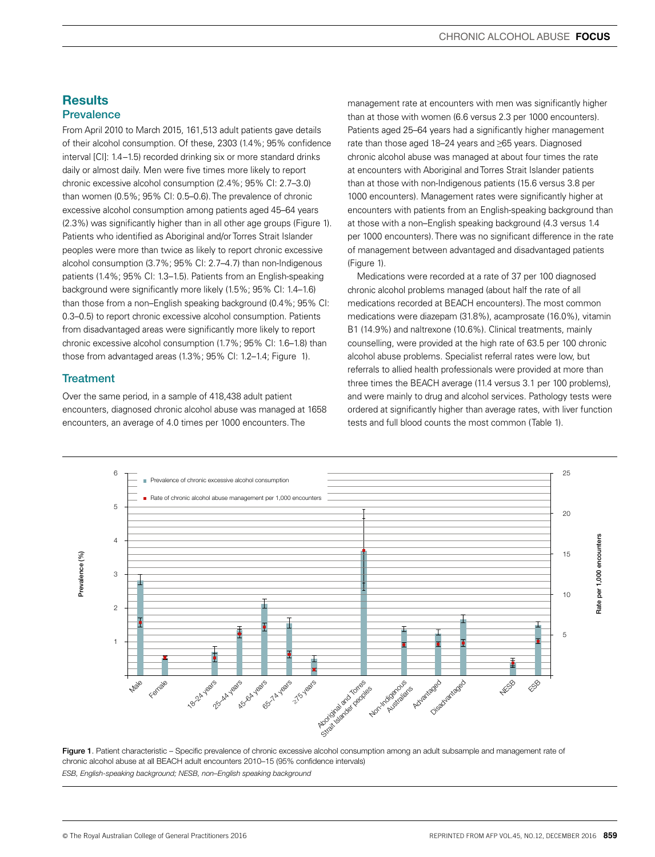# **Results Prevalence**

From April 2010 to March 2015, 161,513 adult patients gave details of their alcohol consumption. Of these, 2303 (1.4%; 95% confidence interval [CI]: 1.4–1.5) recorded drinking six or more standard drinks daily or almost daily. Men were five times more likely to report chronic excessive alcohol consumption (2.4%; 95% CI: 2.7–3.0) than women (0.5%; 95% CI: 0.5–0.6). The prevalence of chronic excessive alcohol consumption among patients aged 45–64 years (2.3%) was significantly higher than in all other age groups (Figure 1). Patients who identified as Aboriginal and/or Torres Strait Islander peoples were more than twice as likely to report chronic excessive alcohol consumption (3.7%; 95% CI: 2.7–4.7) than non-Indigenous patients (1.4%; 95% CI: 1.3–1.5). Patients from an English-speaking background were significantly more likely (1.5%; 95% CI: 1.4–1.6) than those from a non–English speaking background (0.4%; 95% CI: 0.3–0.5) to report chronic excessive alcohol consumption. Patients from disadvantaged areas were significantly more likely to report chronic excessive alcohol consumption (1.7%; 95% CI: 1.6–1.8) than those from advantaged areas (1.3%; 95% CI: 1.2–1.4; Figure 1).

# **Treatment**

Over the same period, in a sample of 418,438 adult patient encounters, diagnosed chronic alcohol abuse was managed at 1658 encounters, an average of 4.0 times per 1000 encounters. The

management rate at encounters with men was significantly higher than at those with women (6.6 versus 2.3 per 1000 encounters). Patients aged 25–64 years had a significantly higher management rate than those aged 18–24 years and ≥65 years. Diagnosed chronic alcohol abuse was managed at about four times the rate at encounters with Aboriginal and Torres Strait Islander patients than at those with non-Indigenous patients (15.6 versus 3.8 per 1000 encounters). Management rates were significantly higher at encounters with patients from an English-speaking background than at those with a non–English speaking background (4.3 versus 1.4 per 1000 encounters). There was no significant difference in the rate of management between advantaged and disadvantaged patients (Figure 1).

Medications were recorded at a rate of 37 per 100 diagnosed chronic alcohol problems managed (about half the rate of all medications recorded at BEACH encounters). The most common medications were diazepam (31.8%), acamprosate (16.0%), vitamin B1 (14.9%) and naltrexone (10.6%). Clinical treatments, mainly counselling, were provided at the high rate of 63.5 per 100 chronic alcohol abuse problems. Specialist referral rates were low, but referrals to allied health professionals were provided at more than three times the BEACH average (11.4 versus 3.1 per 100 problems), and were mainly to drug and alcohol services. Pathology tests were ordered at significantly higher than average rates, with liver function tests and full blood counts the most common (Table 1).